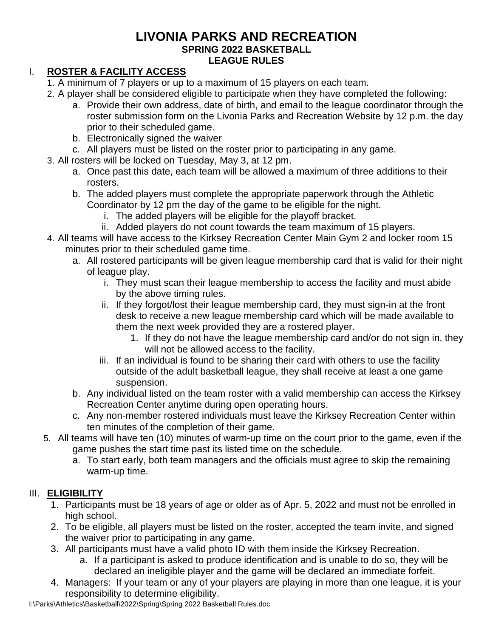### **LIVONIA PARKS AND RECREATION SPRING 2022 BASKETBALL LEAGUE RULES**

### I. **ROSTER & FACILITY ACCESS**

- 1. A minimum of 7 players or up to a maximum of 15 players on each team.
- 2. A player shall be considered eligible to participate when they have completed the following:
	- a. Provide their own address, date of birth, and email to the league coordinator through the roster submission form on the Livonia Parks and Recreation Website by 12 p.m. the day prior to their scheduled game.
	- b. Electronically signed the waiver
	- c. All players must be listed on the roster prior to participating in any game.
- 3. All rosters will be locked on Tuesday, May 3, at 12 pm.
	- a. Once past this date, each team will be allowed a maximum of three additions to their rosters.
	- b. The added players must complete the appropriate paperwork through the Athletic Coordinator by 12 pm the day of the game to be eligible for the night.
		- i. The added players will be eligible for the playoff bracket.
		- ii. Added players do not count towards the team maximum of 15 players.
- 4. All teams will have access to the Kirksey Recreation Center Main Gym 2 and locker room 15 minutes prior to their scheduled game time.
	- a. All rostered participants will be given league membership card that is valid for their night of league play.
		- i. They must scan their league membership to access the facility and must abide by the above timing rules.
		- ii. If they forgot/lost their league membership card, they must sign-in at the front desk to receive a new league membership card which will be made available to them the next week provided they are a rostered player.
			- 1. If they do not have the league membership card and/or do not sign in, they will not be allowed access to the facility.
		- iii. If an individual is found to be sharing their card with others to use the facility outside of the adult basketball league, they shall receive at least a one game suspension.
	- b. Any individual listed on the team roster with a valid membership can access the Kirksey Recreation Center anytime during open operating hours.
	- c. Any non-member rostered individuals must leave the Kirksey Recreation Center within ten minutes of the completion of their game.
- 5. All teams will have ten (10) minutes of warm-up time on the court prior to the game, even if the game pushes the start time past its listed time on the schedule.
	- a. To start early, both team managers and the officials must agree to skip the remaining warm-up time.

### III. **ELIGIBILITY**

- 1. Participants must be 18 years of age or older as of Apr. 5, 2022 and must not be enrolled in high school.
- 2. To be eligible, all players must be listed on the roster, accepted the team invite, and signed the waiver prior to participating in any game.
- 3. All participants must have a valid photo ID with them inside the Kirksey Recreation.
	- a. If a participant is asked to produce identification and is unable to do so, they will be declared an ineligible player and the game will be declared an immediate forfeit.
- 4. Managers: If your team or any of your players are playing in more than one league, it is your responsibility to determine eligibility.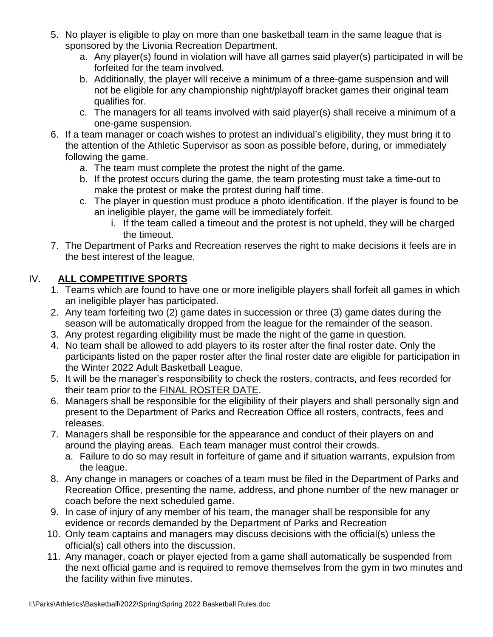- 5. No player is eligible to play on more than one basketball team in the same league that is sponsored by the Livonia Recreation Department.
	- a. Any player(s) found in violation will have all games said player(s) participated in will be forfeited for the team involved.
	- b. Additionally, the player will receive a minimum of a three-game suspension and will not be eligible for any championship night/playoff bracket games their original team qualifies for.
	- c. The managers for all teams involved with said player(s) shall receive a minimum of a one-game suspension.
- 6. If a team manager or coach wishes to protest an individual's eligibility, they must bring it to the attention of the Athletic Supervisor as soon as possible before, during, or immediately following the game.
	- a. The team must complete the protest the night of the game.
	- b. If the protest occurs during the game, the team protesting must take a time-out to make the protest or make the protest during half time.
	- c. The player in question must produce a photo identification. If the player is found to be an ineligible player, the game will be immediately forfeit.
		- i. If the team called a timeout and the protest is not upheld, they will be charged the timeout.
- 7. The Department of Parks and Recreation reserves the right to make decisions it feels are in the best interest of the league.

# IV. **ALL COMPETITIVE SPORTS**

- 1. Teams which are found to have one or more ineligible players shall forfeit all games in which an ineligible player has participated.
- 2. Any team forfeiting two (2) game dates in succession or three (3) game dates during the season will be automatically dropped from the league for the remainder of the season.
- 3. Any protest regarding eligibility must be made the night of the game in question.
- 4. No team shall be allowed to add players to its roster after the final roster date. Only the participants listed on the paper roster after the final roster date are eligible for participation in the Winter 2022 Adult Basketball League.
- 5. It will be the manager's responsibility to check the rosters, contracts, and fees recorded for their team prior to the FINAL ROSTER DATE.
- 6. Managers shall be responsible for the eligibility of their players and shall personally sign and present to the Department of Parks and Recreation Office all rosters, contracts, fees and releases.
- 7. Managers shall be responsible for the appearance and conduct of their players on and around the playing areas. Each team manager must control their crowds.
	- a. Failure to do so may result in forfeiture of game and if situation warrants, expulsion from the league.
- 8. Any change in managers or coaches of a team must be filed in the Department of Parks and Recreation Office, presenting the name, address, and phone number of the new manager or coach before the next scheduled game.
- 9. In case of injury of any member of his team, the manager shall be responsible for any evidence or records demanded by the Department of Parks and Recreation
- 10. Only team captains and managers may discuss decisions with the official(s) unless the official(s) call others into the discussion.
- 11. Any manager, coach or player ejected from a game shall automatically be suspended from the next official game and is required to remove themselves from the gym in two minutes and the facility within five minutes.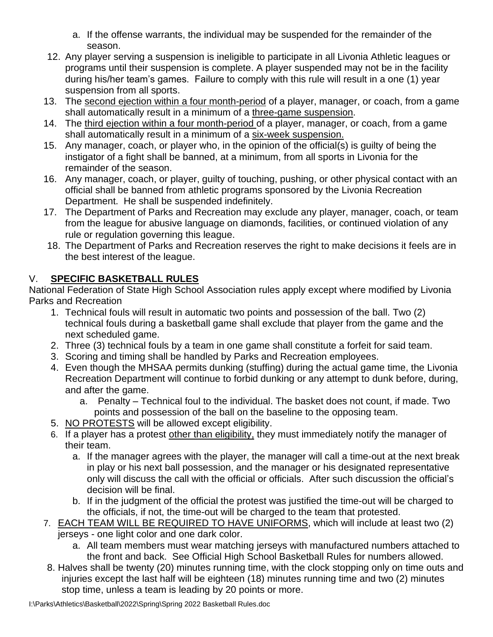- a. If the offense warrants, the individual may be suspended for the remainder of the season.
- 12. Any player serving a suspension is ineligible to participate in all Livonia Athletic leagues or programs until their suspension is complete. A player suspended may not be in the facility during his/her team's games. Failure to comply with this rule will result in a one (1) year suspension from all sports.
- 13. The second ejection within a four month-period of a player, manager, or coach, from a game shall automatically result in a minimum of a three-game suspension.
- 14. The third ejection within a four month-period of a player, manager, or coach, from a game shall automatically result in a minimum of a six-week suspension.
- 15. Any manager, coach, or player who, in the opinion of the official(s) is guilty of being the instigator of a fight shall be banned, at a minimum, from all sports in Livonia for the remainder of the season.
- 16. Any manager, coach, or player, guilty of touching, pushing, or other physical contact with an official shall be banned from athletic programs sponsored by the Livonia Recreation Department. He shall be suspended indefinitely.
- 17. The Department of Parks and Recreation may exclude any player, manager, coach, or team from the league for abusive language on diamonds, facilities, or continued violation of any rule or regulation governing this league.
- 18. The Department of Parks and Recreation reserves the right to make decisions it feels are in the best interest of the league.

# V. **SPECIFIC BASKETBALL RULES**

National Federation of State High School Association rules apply except where modified by Livonia Parks and Recreation

- 1. Technical fouls will result in automatic two points and possession of the ball. Two (2) technical fouls during a basketball game shall exclude that player from the game and the next scheduled game.
- 2. Three (3) technical fouls by a team in one game shall constitute a forfeit for said team.
- 3. Scoring and timing shall be handled by Parks and Recreation employees.
- 4. Even though the MHSAA permits dunking (stuffing) during the actual game time, the Livonia Recreation Department will continue to forbid dunking or any attempt to dunk before, during, and after the game.
	- a. Penalty Technical foul to the individual. The basket does not count, if made. Two points and possession of the ball on the baseline to the opposing team.
- 5. NO PROTESTS will be allowed except eligibility.
- 6. If a player has a protest other than eligibility, they must immediately notify the manager of their team.
	- a. If the manager agrees with the player, the manager will call a time-out at the next break in play or his next ball possession, and the manager or his designated representative only will discuss the call with the official or officials. After such discussion the official's decision will be final.
	- b. If in the judgment of the official the protest was justified the time-out will be charged to the officials, if not, the time-out will be charged to the team that protested.
- 7. EACH TEAM WILL BE REQUIRED TO HAVE UNIFORMS, which will include at least two (2) jerseys - one light color and one dark color.
	- a. All team members must wear matching jerseys with manufactured numbers attached to the front and back. See Official High School Basketball Rules for numbers allowed.
- 8. Halves shall be twenty (20) minutes running time, with the clock stopping only on time outs and injuries except the last half will be eighteen (18) minutes running time and two (2) minutes stop time, unless a team is leading by 20 points or more.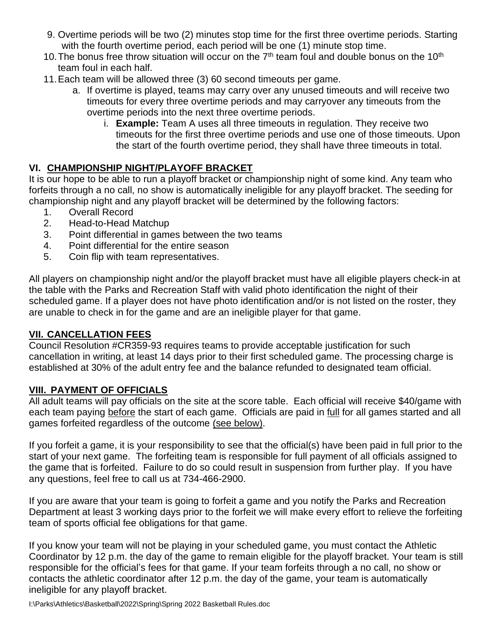- 9. Overtime periods will be two (2) minutes stop time for the first three overtime periods. Starting with the fourth overtime period, each period will be one (1) minute stop time.
- 10. The bonus free throw situation will occur on the  $7<sup>th</sup>$  team foul and double bonus on the 10<sup>th</sup> team foul in each half.
- 11.Each team will be allowed three (3) 60 second timeouts per game.
	- a. If overtime is played, teams may carry over any unused timeouts and will receive two timeouts for every three overtime periods and may carryover any timeouts from the overtime periods into the next three overtime periods.
		- i. **Example:** Team A uses all three timeouts in regulation. They receive two timeouts for the first three overtime periods and use one of those timeouts. Upon the start of the fourth overtime period, they shall have three timeouts in total.

# **VI. CHAMPIONSHIP NIGHT/PLAYOFF BRACKET**

It is our hope to be able to run a playoff bracket or championship night of some kind. Any team who forfeits through a no call, no show is automatically ineligible for any playoff bracket. The seeding for championship night and any playoff bracket will be determined by the following factors:

- 1. Overall Record
- 2. Head-to-Head Matchup
- 3. Point differential in games between the two teams
- 4. Point differential for the entire season
- 5. Coin flip with team representatives.

All players on championship night and/or the playoff bracket must have all eligible players check-in at the table with the Parks and Recreation Staff with valid photo identification the night of their scheduled game. If a player does not have photo identification and/or is not listed on the roster, they are unable to check in for the game and are an ineligible player for that game.

#### **VII. CANCELLATION FEES**

Council Resolution #CR359-93 requires teams to provide acceptable justification for such cancellation in writing, at least 14 days prior to their first scheduled game. The processing charge is established at 30% of the adult entry fee and the balance refunded to designated team official.

#### **VIII. PAYMENT OF OFFICIALS**

All adult teams will pay officials on the site at the score table. Each official will receive \$40/game with each team paying before the start of each game. Officials are paid in full for all games started and all games forfeited regardless of the outcome (see below).

If you forfeit a game, it is your responsibility to see that the official(s) have been paid in full prior to the start of your next game. The forfeiting team is responsible for full payment of all officials assigned to the game that is forfeited. Failure to do so could result in suspension from further play. If you have any questions, feel free to call us at 734-466-2900.

If you are aware that your team is going to forfeit a game and you notify the Parks and Recreation Department at least 3 working days prior to the forfeit we will make every effort to relieve the forfeiting team of sports official fee obligations for that game.

If you know your team will not be playing in your scheduled game, you must contact the Athletic Coordinator by 12 p.m. the day of the game to remain eligible for the playoff bracket. Your team is still responsible for the official's fees for that game. If your team forfeits through a no call, no show or contacts the athletic coordinator after 12 p.m. the day of the game, your team is automatically ineligible for any playoff bracket.